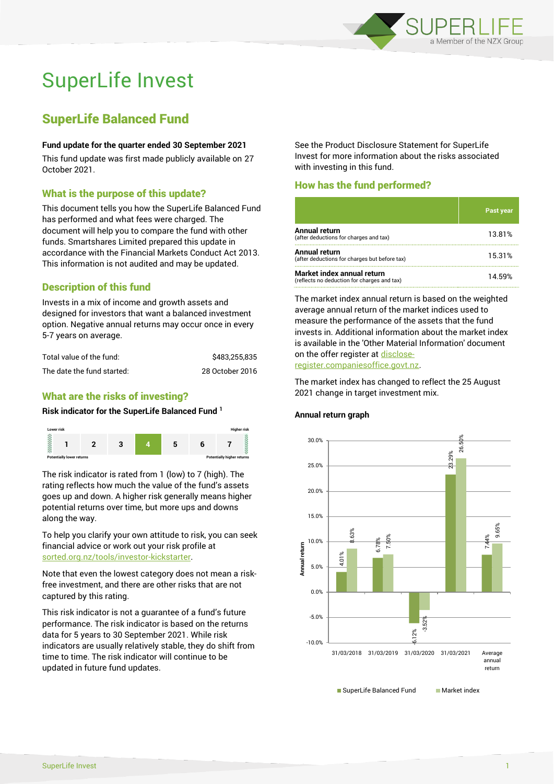

# SuperLife Invest

# SuperLife Balanced Fund

#### **Fund update for the quarter ended 30 September 2021**

This fund update was first made publicly available on 27 October 2021.

# What is the purpose of this update?

This document tells you how the SuperLife Balanced Fund has performed and what fees were charged. The document will help you to compare the fund with other funds. Smartshares Limited prepared this update in accordance with the Financial Markets Conduct Act 2013. This information is not audited and may be updated.

# Description of this fund

Invests in a mix of income and growth assets and designed for investors that want a balanced investment option. Negative annual returns may occur once in every 5-7 years on average.

| Total value of the fund:   | \$483.255.835   |
|----------------------------|-----------------|
| The date the fund started: | 28 October 2016 |

# What are the risks of investing?

#### **Risk indicator for the SuperLife Balanced Fund <sup>1</sup>**



The risk indicator is rated from 1 (low) to 7 (high). The rating reflects how much the value of the fund's assets goes up and down. A higher risk generally means higher potential returns over time, but more ups and downs along the way.

To help you clarify your own attitude to risk, you can seek financial advice or work out your risk profile at [sorted.org.nz/tools/investor-kickstarter.](http://www.sorted.org.nz/tools/investor-kickstarter)

Note that even the lowest category does not mean a riskfree investment, and there are other risks that are not captured by this rating.

This risk indicator is not a guarantee of a fund's future performance. The risk indicator is based on the returns data for 5 years to 30 September 2021. While risk indicators are usually relatively stable, they do shift from time to time. The risk indicator will continue to be updated in future fund updates.

See the Product Disclosure Statement for SuperLife Invest for more information about the risks associated with investing in this fund.

# How has the fund performed?

|                                                                           | Past year |
|---------------------------------------------------------------------------|-----------|
| Annual return<br>(after deductions for charges and tax)                   | 13.81%    |
| Annual return<br>(after deductions for charges but before tax)            | 15.31%    |
| Market index annual return<br>(reflects no deduction for charges and tax) | 14.59%    |

The market index annual return is based on the weighted average annual return of the market indices used to measure the performance of the assets that the fund invests in. Additional information about the market index is available in the 'Other Material Information' document on the offer register a[t disclose](http://www.disclose-register.companiesoffice.govt.nz/)[register.companiesoffice.govt.nz.](http://www.disclose-register.companiesoffice.govt.nz/)

The market index has changed to reflect the 25 August 2021 change in target investment mix.

#### **Annual return graph**

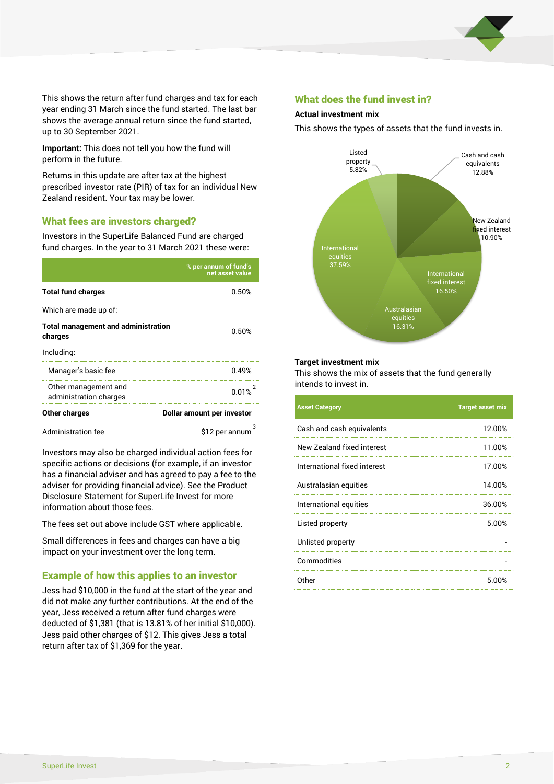

This shows the return after fund charges and tax for each year ending 31 March since the fund started. The last bar shows the average annual return since the fund started, up to 30 September 2021.

**Important:** This does not tell you how the fund will perform in the future.

Returns in this update are after tax at the highest prescribed investor rate (PIR) of tax for an individual New Zealand resident. Your tax may be lower.

# What fees are investors charged?

Investors in the SuperLife Balanced Fund are charged fund charges. In the year to 31 March 2021 these were:

|                                                       | % per annum of fund's<br>net asset value |  |
|-------------------------------------------------------|------------------------------------------|--|
| <b>Total fund charges</b>                             | 0.50%                                    |  |
| Which are made up of:                                 |                                          |  |
| <b>Total management and administration</b><br>charges | 0.50%                                    |  |
| Including:                                            |                                          |  |
| Manager's basic fee                                   | 0.49%                                    |  |
| Other management and<br>administration charges        | 0.01%                                    |  |
| Other charges                                         | Dollar amount per investor               |  |
| Administration fee                                    | 3<br>\$12 per annum                      |  |

Investors may also be charged individual action fees for specific actions or decisions (for example, if an investor has a financial adviser and has agreed to pay a fee to the adviser for providing financial advice). See the Product Disclosure Statement for SuperLife Invest for more information about those fees.

The fees set out above include GST where applicable.

Small differences in fees and charges can have a big impact on your investment over the long term.

# Example of how this applies to an investor

Jess had \$10,000 in the fund at the start of the year and did not make any further contributions. At the end of the year, Jess received a return after fund charges were deducted of \$1,381 (that is 13.81% of her initial \$10,000). Jess paid other charges of \$12. This gives Jess a total return after tax of \$1,369 for the year.

# What does the fund invest in?

#### **Actual investment mix**

This shows the types of assets that the fund invests in.



#### **Target investment mix**

This shows the mix of assets that the fund generally intends to invest in.

| <b>Asset Category</b>        | <b>Target asset mix</b> |
|------------------------------|-------------------------|
| Cash and cash equivalents    | 12.00%                  |
| New Zealand fixed interest   | 11.00%                  |
| International fixed interest | 17.00%                  |
| Australasian equities        | 14.00%                  |
| International equities       | 36.00%                  |
| Listed property              | 5.00%                   |
| Unlisted property            |                         |
| Commodities                  |                         |
| Other                        | 5.00%                   |